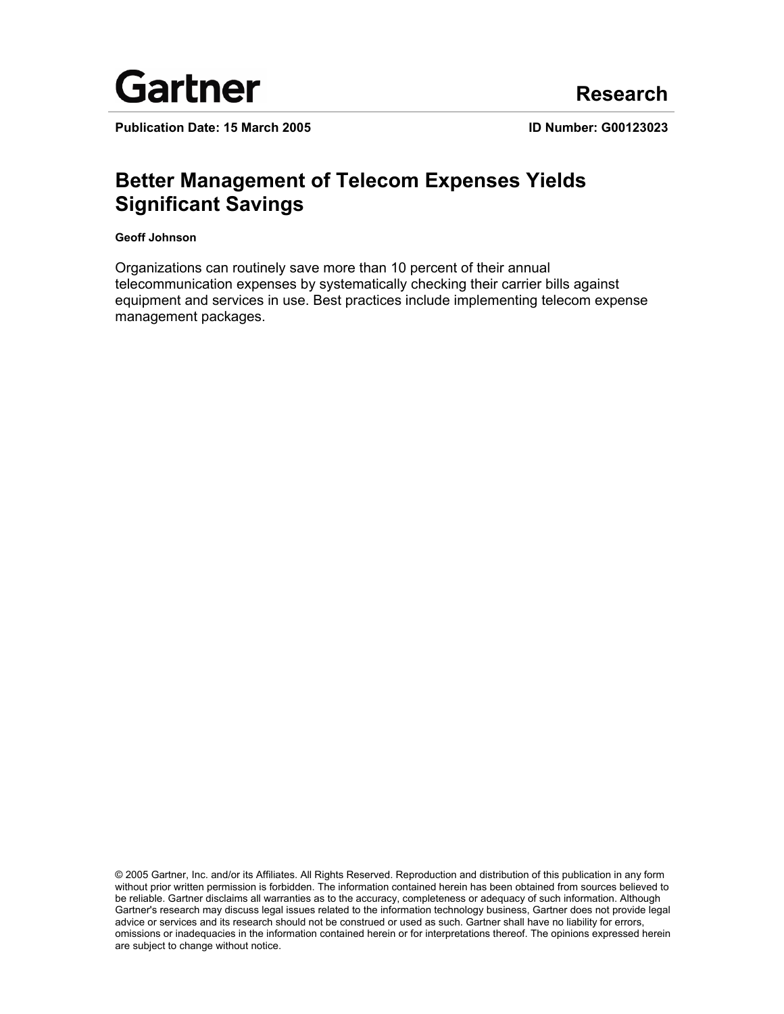

**Publication Date: 15 March 2005 ID Number: G00123023**

# **Better Management of Telecom Expenses Yields Significant Savings**

**Geoff Johnson** 

Organizations can routinely save more than 10 percent of their annual telecommunication expenses by systematically checking their carrier bills against equipment and services in use. Best practices include implementing telecom expense management packages.

© 2005 Gartner, Inc. and/or its Affiliates. All Rights Reserved. Reproduction and distribution of this publication in any form without prior written permission is forbidden. The information contained herein has been obtained from sources believed to be reliable. Gartner disclaims all warranties as to the accuracy, completeness or adequacy of such information. Although Gartner's research may discuss legal issues related to the information technology business, Gartner does not provide legal advice or services and its research should not be construed or used as such. Gartner shall have no liability for errors, omissions or inadequacies in the information contained herein or for interpretations thereof. The opinions expressed herein are subject to change without notice.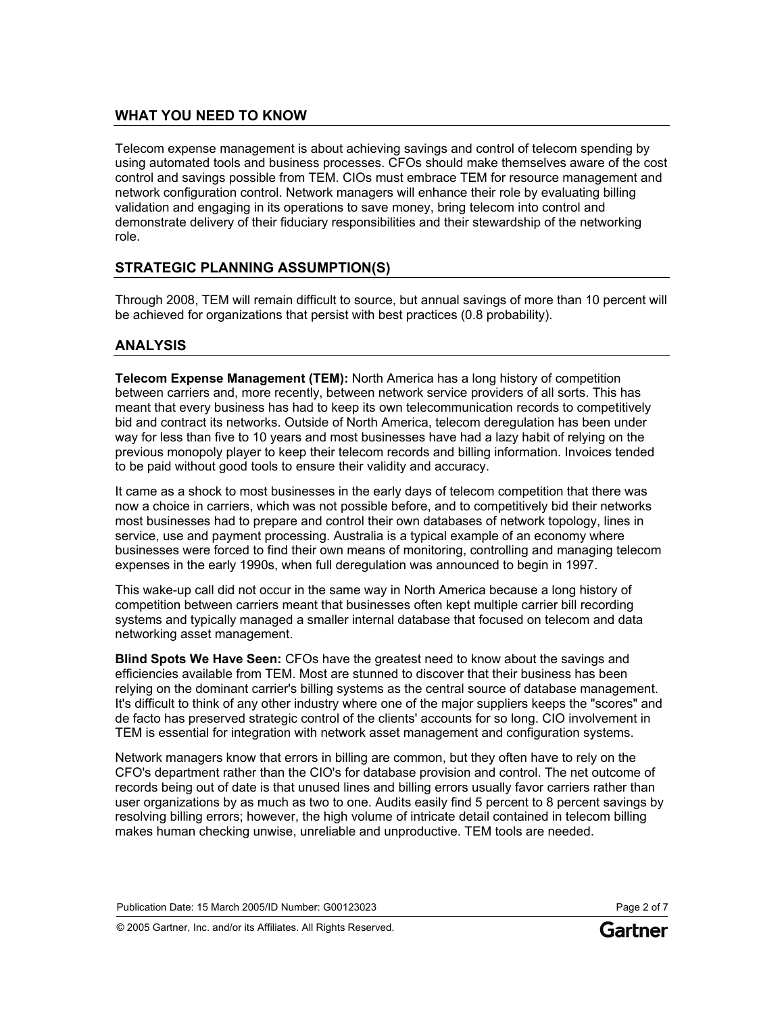# **WHAT YOU NEED TO KNOW**

Telecom expense management is about achieving savings and control of telecom spending by using automated tools and business processes. CFOs should make themselves aware of the cost control and savings possible from TEM. CIOs must embrace TEM for resource management and network configuration control. Network managers will enhance their role by evaluating billing validation and engaging in its operations to save money, bring telecom into control and demonstrate delivery of their fiduciary responsibilities and their stewardship of the networking role.

# **STRATEGIC PLANNING ASSUMPTION(S)**

Through 2008, TEM will remain difficult to source, but annual savings of more than 10 percent will be achieved for organizations that persist with best practices (0.8 probability).

# **ANALYSIS**

**Telecom Expense Management (TEM):** North America has a long history of competition between carriers and, more recently, between network service providers of all sorts. This has meant that every business has had to keep its own telecommunication records to competitively bid and contract its networks. Outside of North America, telecom deregulation has been under way for less than five to 10 years and most businesses have had a lazy habit of relying on the previous monopoly player to keep their telecom records and billing information. Invoices tended to be paid without good tools to ensure their validity and accuracy.

It came as a shock to most businesses in the early days of telecom competition that there was now a choice in carriers, which was not possible before, and to competitively bid their networks most businesses had to prepare and control their own databases of network topology, lines in service, use and payment processing. Australia is a typical example of an economy where businesses were forced to find their own means of monitoring, controlling and managing telecom expenses in the early 1990s, when full deregulation was announced to begin in 1997.

This wake-up call did not occur in the same way in North America because a long history of competition between carriers meant that businesses often kept multiple carrier bill recording systems and typically managed a smaller internal database that focused on telecom and data networking asset management.

**Blind Spots We Have Seen:** CFOs have the greatest need to know about the savings and efficiencies available from TEM. Most are stunned to discover that their business has been relying on the dominant carrier's billing systems as the central source of database management. It's difficult to think of any other industry where one of the major suppliers keeps the "scores" and de facto has preserved strategic control of the clients' accounts for so long. CIO involvement in TEM is essential for integration with network asset management and configuration systems.

Network managers know that errors in billing are common, but they often have to rely on the CFO's department rather than the CIO's for database provision and control. The net outcome of records being out of date is that unused lines and billing errors usually favor carriers rather than user organizations by as much as two to one. Audits easily find 5 percent to 8 percent savings by resolving billing errors; however, the high volume of intricate detail contained in telecom billing makes human checking unwise, unreliable and unproductive. TEM tools are needed.

Publication Date: 15 March 2005/ID Number: G00123023 Page 2 of 7

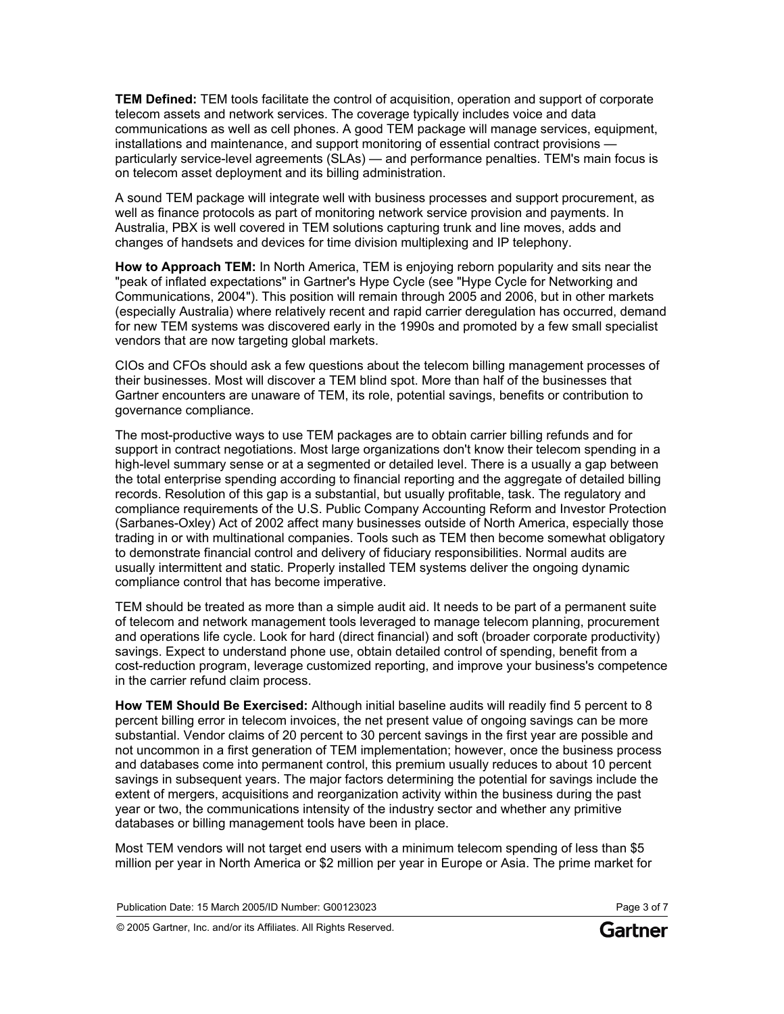**TEM Defined:** TEM tools facilitate the control of acquisition, operation and support of corporate telecom assets and network services. The coverage typically includes voice and data communications as well as cell phones. A good TEM package will manage services, equipment, installations and maintenance, and support monitoring of essential contract provisions particularly service-level agreements (SLAs) — and performance penalties. TEM's main focus is on telecom asset deployment and its billing administration.

A sound TEM package will integrate well with business processes and support procurement, as well as finance protocols as part of monitoring network service provision and payments. In Australia, PBX is well covered in TEM solutions capturing trunk and line moves, adds and changes of handsets and devices for time division multiplexing and IP telephony.

**How to Approach TEM:** In North America, TEM is enjoying reborn popularity and sits near the "peak of inflated expectations" in Gartner's Hype Cycle (see "Hype Cycle for Networking and Communications, 2004"). This position will remain through 2005 and 2006, but in other markets (especially Australia) where relatively recent and rapid carrier deregulation has occurred, demand for new TEM systems was discovered early in the 1990s and promoted by a few small specialist vendors that are now targeting global markets.

CIOs and CFOs should ask a few questions about the telecom billing management processes of their businesses. Most will discover a TEM blind spot. More than half of the businesses that Gartner encounters are unaware of TEM, its role, potential savings, benefits or contribution to governance compliance.

The most-productive ways to use TEM packages are to obtain carrier billing refunds and for support in contract negotiations. Most large organizations don't know their telecom spending in a high-level summary sense or at a segmented or detailed level. There is a usually a gap between the total enterprise spending according to financial reporting and the aggregate of detailed billing records. Resolution of this gap is a substantial, but usually profitable, task. The regulatory and compliance requirements of the U.S. Public Company Accounting Reform and Investor Protection (Sarbanes-Oxley) Act of 2002 affect many businesses outside of North America, especially those trading in or with multinational companies. Tools such as TEM then become somewhat obligatory to demonstrate financial control and delivery of fiduciary responsibilities. Normal audits are usually intermittent and static. Properly installed TEM systems deliver the ongoing dynamic compliance control that has become imperative.

TEM should be treated as more than a simple audit aid. It needs to be part of a permanent suite of telecom and network management tools leveraged to manage telecom planning, procurement and operations life cycle. Look for hard (direct financial) and soft (broader corporate productivity) savings. Expect to understand phone use, obtain detailed control of spending, benefit from a cost-reduction program, leverage customized reporting, and improve your business's competence in the carrier refund claim process.

**How TEM Should Be Exercised:** Although initial baseline audits will readily find 5 percent to 8 percent billing error in telecom invoices, the net present value of ongoing savings can be more substantial. Vendor claims of 20 percent to 30 percent savings in the first year are possible and not uncommon in a first generation of TEM implementation; however, once the business process and databases come into permanent control, this premium usually reduces to about 10 percent savings in subsequent years. The major factors determining the potential for savings include the extent of mergers, acquisitions and reorganization activity within the business during the past year or two, the communications intensity of the industry sector and whether any primitive databases or billing management tools have been in place.

Most TEM vendors will not target end users with a minimum telecom spending of less than \$5 million per year in North America or \$2 million per year in Europe or Asia. The prime market for

Publication Date: 15 March 2005/ID Number: G00123023 Page 3 of 7

© 2005 Gartner, Inc. and/or its Affiliates. All Rights Reserved.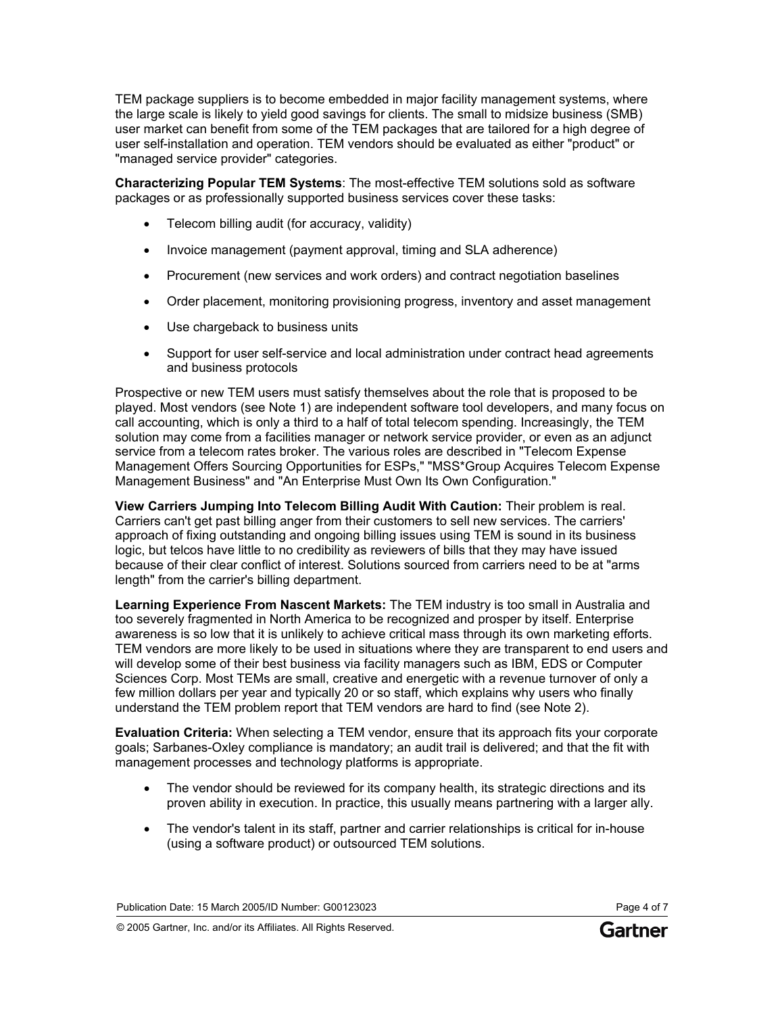TEM package suppliers is to become embedded in major facility management systems, where the large scale is likely to yield good savings for clients. The small to midsize business (SMB) user market can benefit from some of the TEM packages that are tailored for a high degree of user self-installation and operation. TEM vendors should be evaluated as either "product" or "managed service provider" categories.

**Characterizing Popular TEM Systems**: The most-effective TEM solutions sold as software packages or as professionally supported business services cover these tasks:

- Telecom billing audit (for accuracy, validity)
- Invoice management (payment approval, timing and SLA adherence)
- Procurement (new services and work orders) and contract negotiation baselines
- Order placement, monitoring provisioning progress, inventory and asset management
- Use chargeback to business units
- Support for user self-service and local administration under contract head agreements and business protocols

Prospective or new TEM users must satisfy themselves about the role that is proposed to be played. Most vendors (see Note 1) are independent software tool developers, and many focus on call accounting, which is only a third to a half of total telecom spending. Increasingly, the TEM solution may come from a facilities manager or network service provider, or even as an adjunct service from a telecom rates broker. The various roles are described in "Telecom Expense Management Offers Sourcing Opportunities for ESPs," "MSS\*Group Acquires Telecom Expense Management Business" and "An Enterprise Must Own Its Own Configuration."

**View Carriers Jumping Into Telecom Billing Audit With Caution:** Their problem is real. Carriers can't get past billing anger from their customers to sell new services. The carriers' approach of fixing outstanding and ongoing billing issues using TEM is sound in its business logic, but telcos have little to no credibility as reviewers of bills that they may have issued because of their clear conflict of interest. Solutions sourced from carriers need to be at "arms length" from the carrier's billing department.

**Learning Experience From Nascent Markets:** The TEM industry is too small in Australia and too severely fragmented in North America to be recognized and prosper by itself. Enterprise awareness is so low that it is unlikely to achieve critical mass through its own marketing efforts. TEM vendors are more likely to be used in situations where they are transparent to end users and will develop some of their best business via facility managers such as IBM, EDS or Computer Sciences Corp. Most TEMs are small, creative and energetic with a revenue turnover of only a few million dollars per year and typically 20 or so staff, which explains why users who finally understand the TEM problem report that TEM vendors are hard to find (see Note 2).

**Evaluation Criteria:** When selecting a TEM vendor, ensure that its approach fits your corporate goals; Sarbanes-Oxley compliance is mandatory; an audit trail is delivered; and that the fit with management processes and technology platforms is appropriate.

- The vendor should be reviewed for its company health, its strategic directions and its proven ability in execution. In practice, this usually means partnering with a larger ally.
- The vendor's talent in its staff, partner and carrier relationships is critical for in-house (using a software product) or outsourced TEM solutions.

Publication Date: 15 March 2005/ID Number: G00123023 Page 4 of 7

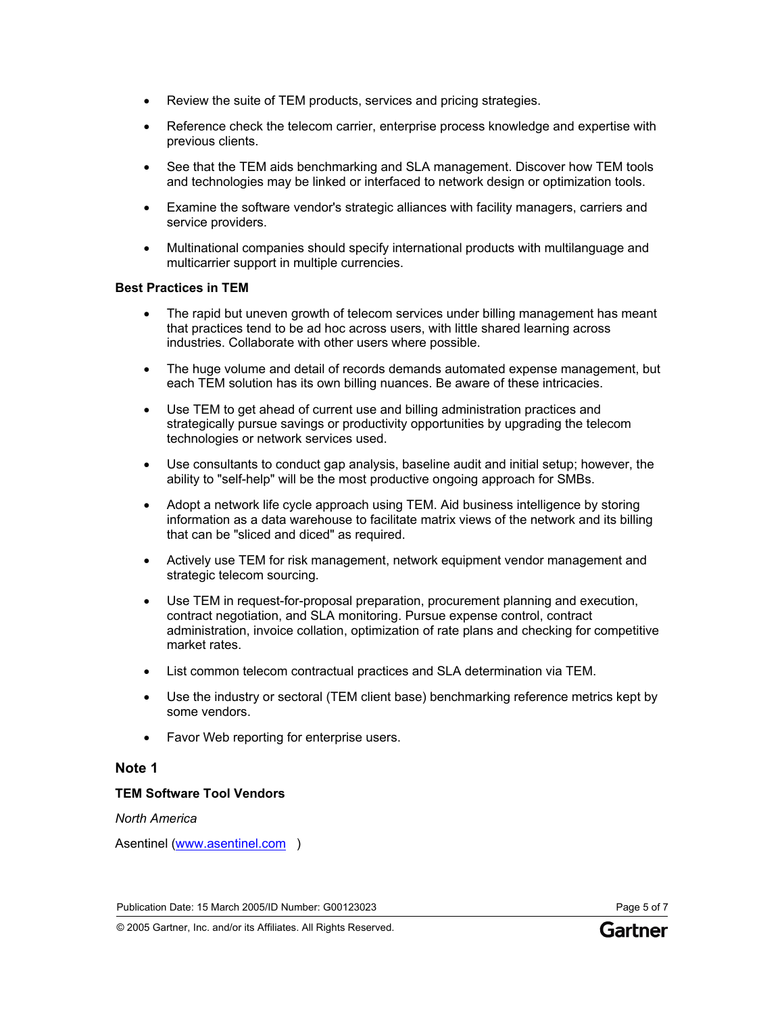- Review the suite of TEM products, services and pricing strategies.
- Reference check the telecom carrier, enterprise process knowledge and expertise with previous clients.
- See that the TEM aids benchmarking and SLA management. Discover how TEM tools and technologies may be linked or interfaced to network design or optimization tools.
- Examine the software vendor's strategic alliances with facility managers, carriers and service providers.
- Multinational companies should specify international products with multilanguage and multicarrier support in multiple currencies.

## **Best Practices in TEM**

- The rapid but uneven growth of telecom services under billing management has meant that practices tend to be ad hoc across users, with little shared learning across industries. Collaborate with other users where possible.
- The huge volume and detail of records demands automated expense management, but each TEM solution has its own billing nuances. Be aware of these intricacies.
- Use TEM to get ahead of current use and billing administration practices and strategically pursue savings or productivity opportunities by upgrading the telecom technologies or network services used.
- Use consultants to conduct gap analysis, baseline audit and initial setup; however, the ability to "self-help" will be the most productive ongoing approach for SMBs.
- Adopt a network life cycle approach using TEM. Aid business intelligence by storing information as a data warehouse to facilitate matrix views of the network and its billing that can be "sliced and diced" as required.
- Actively use TEM for risk management, network equipment vendor management and strategic telecom sourcing.
- Use TEM in request-for-proposal preparation, procurement planning and execution, contract negotiation, and SLA monitoring. Pursue expense control, contract administration, invoice collation, optimization of rate plans and checking for competitive market rates.
- List common telecom contractual practices and SLA determination via TEM.
- Use the industry or sectoral (TEM client base) benchmarking reference metrics kept by some vendors.
- Favor Web reporting for enterprise users.

# **Note 1**

## **TEM Software Tool Vendors**

*North America*

Asentinel [\(www.asentinel.com](http://www.asentinel.com/) )

Publication Date: 15 March 2005/ID Number: G00123023 Page 5 of 7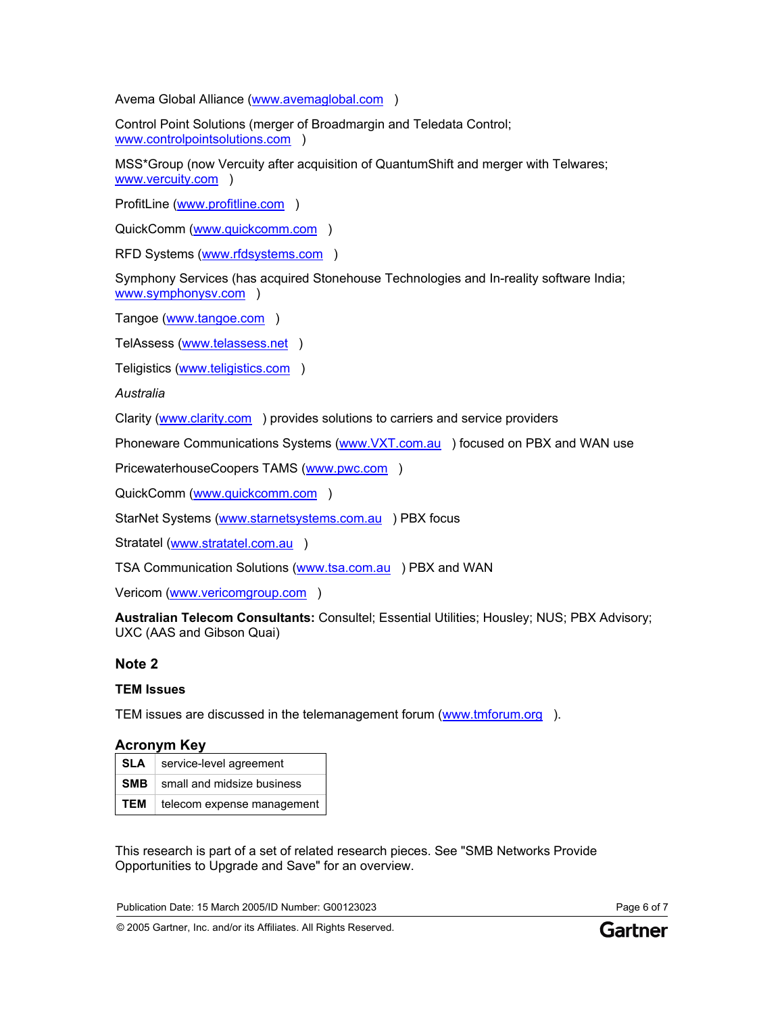Avema Global Alliance ([www.avemaglobal.com](http://www.avemaglobal.com/) )

Control Point Solutions (merger of Broadmargin and Teledata Control; [www.controlpointsolutions.com](http://www.controlpointsolutions.com/) )

MSS\*Group (now Vercuity after acquisition of QuantumShift and merger with Telwares; [www.vercuity.com](http://www.vercuity.com/) )

ProfitLine [\(www.profitline.com](http://www.profitline.com/) )

QuickComm [\(www.quickcomm.com](http://www.quickcomm.com/) )

RFD Systems ([www.rfdsystems.com](http://www.rfdsystems.com/) )

Symphony Services (has acquired Stonehouse Technologies and In-reality software India; [www.symphonysv.com](http://www.symphonysv.com/) )

Tangoe [\(www.tangoe.com](http://www.tangoe.com/) )

TelAssess [\(www.telassess.net](http://www.telassess.net/) )

Teligistics [\(www.teligistics.com](http://www.teligistics.com/) )

*Australia*

Clarity [\(www.clarity.com](http://www.clarity.com/) ) provides solutions to carriers and service providers

Phoneware Communications Systems [\(www.VXT.com.au](http://www.vxt.com.au/) ) focused on PBX and WAN use

PricewaterhouseCoopers TAMS ([www.pwc.com](http://www.pwc.com/) )

QuickComm [\(www.quickcomm.com](http://www.quickcomm.com/) )

StarNet Systems [\(www.starnetsystems.com.au](http://www.starnetsystems.com.au/) ) PBX focus

Stratatel [\(www.stratatel.com.au](http://www.stratatel.com.au/) )

TSA Communication Solutions ([www.tsa.com.au](http://www.tsa.com.au/) ) PBX and WAN

Vericom ([www.vericomgroup.com](http://www.vericomgroup.com/) )

**Australian Telecom Consultants:** Consultel; Essential Utilities; Housley; NUS; PBX Advisory; UXC (AAS and Gibson Quai)

## **Note 2**

## **TEM Issues**

TEM issues are discussed in the telemanagement forum ([www.tmforum.org](http://www.tmforum.org/) ).

## **Acronym Key**

|       | <b>SLA</b>   service-level agreement  |
|-------|---------------------------------------|
|       | <b>SMB</b> small and midsize business |
| TEM . | telecom expense management            |

This research is part of a set of related research pieces. See "SMB Networks Provide Opportunities to Upgrade and Save" for an overview.

Publication Date: 15 March 2005/ID Number: G00123023 Page 6 of 7

© 2005 Gartner, Inc. and/or its Affiliates. All Rights Reserved.